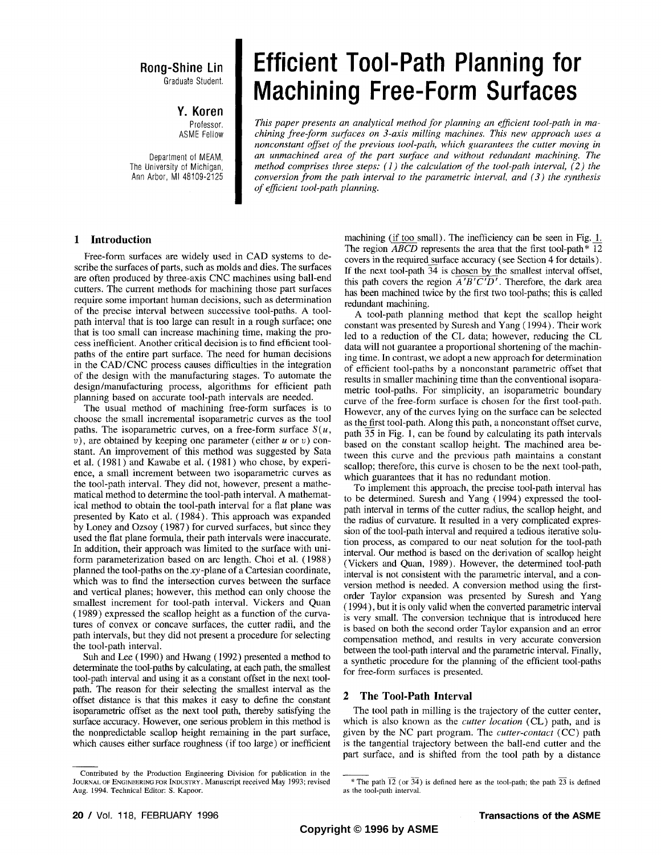# **Rong-Shine Lin**  Graduate Student.

**Y. Koren** 

Professor. ASME Fellow

Department of MEAM, The University of Michigan, Ann Arbor, Ml 48109-2125

# **Efficient Tool-Path Planning for Machining Free-Form Surfaces**

*This paper presents an analytical method for planning an efficient tool-path in machining free-form surfaces on 3-axis milling machines. This new approach uses a nonconstant offset of the previous tool-path, which guarantees the cutter moving in an unmachined area of the part surface and without redundant machining. The method comprises three steps: (1) the calculation of the tool-path interval, (2) the conversion from the path interval to the parametric interval, and (3) the synthesis of efficient tool-path planning.* 

#### **1 Introduction**

Free-form surfaces are widely used in CAD systems to describe the surfaces of parts, such as molds and dies. The surfaces are often produced by three-axis CNC machines using ball-end cutters. The current methods for machining those part surfaces require some important human decisions, such as determination of the precise interval between successive tool-paths. A toolpath interval that is too large can result in a rough surface; one that is too small can increase machining time, making the process inefficient. Another critical decision is to find efficient toolpaths of the entire part surface. The need for human decisions in the CAD/CNC process causes difficulties in the integration of the design with the manufacturing stages. To automate the design/manufacturing process, algorithms for efficient path planning based on accurate tool-path intervals are needed.

The usual method of machining free-form surfaces is to choose the small incremental isoparametric curves as the tool paths. The isoparametric curves, on a free-form surface  $S(u,$ *v),* are obtained by keeping one parameter (either *u* or *v)* constant. An improvement of this method was suggested by Sata et al. (1981) and Kawabe et al. (1981) who chose, by experience, a small increment between two isoparametric curves as the tool-path interval. They did not, however, present a mathematical method to determine the tool-path interval. A mathematical method to obtain the tool-path interval for a flat plane was presented by Kato et al. (1984). This approach was expanded by Loney and Ozsoy (1987) for curved surfaces, but since they used the flat plane formula, their path intervals were inaccurate. In addition, their approach was limited to the surface with uniform parameterization based on arc length. Choi et al. (1988) planned the tool-paths on the *xy* -plane of a Cartesian coordinate, which was to find the intersection curves between the surface and vertical planes; however, this method can only choose the smallest increment for tool-path interval. Vickers and Quan (1989) expressed the scallop height as a function of the curvatures of convex or concave surfaces, the cutter radii, and the path intervals, but they did not present a procedure for selecting the tool-path interval.

Suh and Lee (1990) and Hwang (1992) presented a method to determinate the tool-paths by calculating, at each path, the smallest tool-path interval and using it as a constant offset in the next toolpath. The reason for their selecting the smallest interval as the offset distance is that this makes it easy to define the constant isoparametric offset as the next tool path, thereby satisfying the surface accuracy. However, one serious problem in this method is the nonpredictable scallop height remaining in the part surface, which causes either surface roughness (if too large) or inefficient

Contributed by the Production Engineering Division for publication in the JOURNAL OF ENGINEERING FOR INDUSTRY. Manuscript received May 1993; revised Aug. 1994. Technical Editor: S. Kapoor.

machining (if too small). The inefficiency can be seen in Fig. 1. The region *ABCD* represents the area that the first tool-path\* 12 covers in the required surface accuracy (see Section 4 for details). If the next tool-path 34 is chosen by the smallest interval offset, this path covers the region  $\overline{A'B'C'D'}$ . Therefore, the dark area has been machined twice by the first two tool-paths; this is called redundant machining.

A tool-path planning method that kept the scallop height constant was presented by Suresh and Yang (1994). Their work led to a reduction of the CL data; however, reducing the CL data will not guarantee a proportional shortening of the machining time. In contrast, we adopt a new approach for determination of efficient tool-paths by a nonconstant parametric offset that results in smaller machining time than the conventional isoparametric tool-paths. For simplicity, an isoparametric boundary curve of the free-form surface is chosen for the first tool-path. However, any of the curves lying on the surface can be selected as the first tool-path. Along this path, a nonconstant offset curve, path 35 in Fig. 1, can be found by calculating its path intervals based on the constant scallop height. The machined area between this curve and the previous path maintains a constant scallop; therefore, this curve is chosen to be the next tool-path, which guarantees that it has no redundant motion.

To implement this approach, the precise tool-path interval has to be determined. Suresh and Yang (1994) expressed the toolpath interval in terms of the cutter radius, the scallop height, and the radius of curvature. It resulted in a very complicated expression of the tool-path interval and required a tedious iterative solution process, as compared to our neat solution for the tool-path interval. Our method is based on the derivation of scallop height (Vickers and Quan, 1989). However, the determined tool-path interval is not consistent with the parametric interval, and a conversion method is needed. A conversion method using the firstorder Taylor expansion was presented by Suresh and Yang (1994), but it is only valid when the converted parametric interval is very small. The conversion technique that is introduced here is based on both the second order Taylor expansion and an error compensation method, and results in very accurate conversion between the tool-path interval and the parametric interval. Finally, a synthetic procedure for the planning of the efficient tool-paths for free-form surfaces is presented.

### **2 The Tool-Path Interval**

The tool path in milling is the trajectory of the cutter center, which is also known as the *cutter location* (CL) path, and is given by the NC part program. The *cutter-contact* (CC) path is the tangential trajectory between the ball-end cutter and the part surface, and is shifted from the tool path by a distance

\* The path  $\overline{12}$  (or  $\overline{34}$ ) is defined here as the tool-path; the path  $\overline{23}$  is defined

as the tool-path interval.

<sup>20 /</sup> Vol. 118, FEBRUARY 1996 **Transactions of the ASME**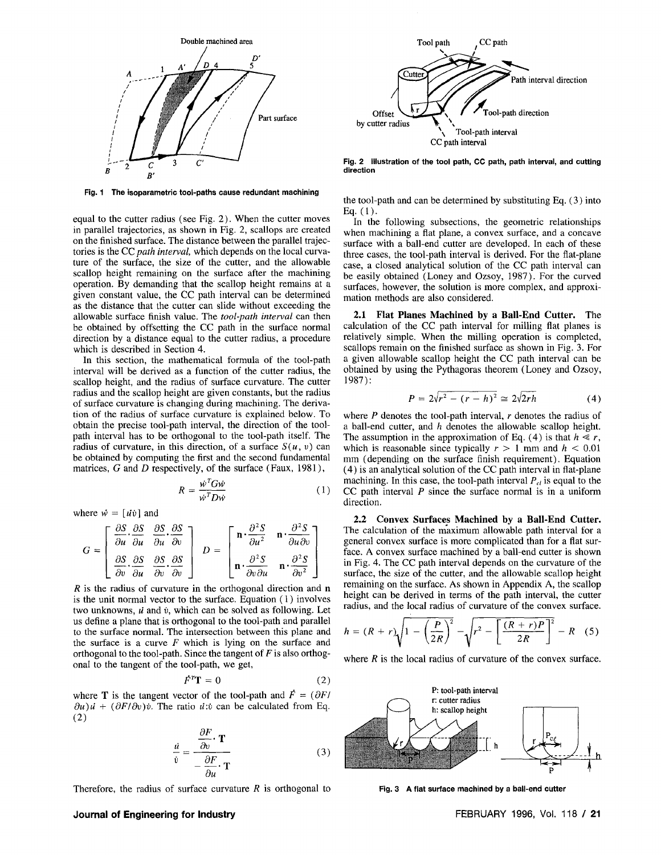

**Fig. 1 The isoparametric tool-paths cause redundant machining** 

equal to the cutter radius (see Fig. 2). When the cutter moves in parallel trajectories, as shown in Fig. 2, scallops are created on the finished surface. The distance between the parallel trajectories is the CC *path interval,* which depends on the local curvature of the surface, the size of the cutter, and the allowable scallop height remaining on the surface after the machining operation. By demanding that the scallop height remains at a given constant value, the CC path interval can be determined as the distance that the cutter can slide without exceeding the allowable surface finish value. The *tool-path interval* can then be obtained by offsetting the CC path in the surface normal direction by a distance equal to the cutter radius, a procedure which is described in Section 4.

In this section, the mathematical formula of the tool-path interval will be derived as a function of the cutter radius, the scallop height, and the radius of surface curvature. The cutter radius and the scallop height are given constants, but the radius of surface curvature is changing during machining. The derivation of the radius of surface curvature is explained below. To obtain the precise tool-path interval, the direction of the toolpath interval has to be orthogonal to the tool-path itself. The radius of curvature, in this direction, of a surface  $S(u, v)$  can be obtained by computing the first and the second fundamental matrices, *G* and *D* respectively, of the surface (Faux, 1981),

$$
R = \frac{\dot{w}^T G \dot{w}}{\dot{w}^T D \dot{w}} \tag{1}
$$

where  $\vec{w} = \left[\vec{u}\vec{v}\right]$  and

$$
G = \begin{bmatrix} \frac{\partial S}{\partial u} \cdot \frac{\partial S}{\partial u} & \frac{\partial S}{\partial u} \cdot \frac{\partial S}{\partial v} \\ \frac{\partial S}{\partial v} \cdot \frac{\partial S}{\partial u} & \frac{\partial S}{\partial v} \cdot \frac{\partial S}{\partial v} \end{bmatrix} \quad D = \begin{bmatrix} \mathbf{n} \cdot \frac{\partial^2 S}{\partial u^2} & \mathbf{n} \cdot \frac{\partial^2 S}{\partial u \partial v} \\ \mathbf{n} \cdot \frac{\partial^2 S}{\partial v \partial u} & \mathbf{n} \cdot \frac{\partial^2 S}{\partial v^2} \end{bmatrix}
$$

*R* is the radius of curvature in the orthogonal direction and **n**  is the unit normal vector to the surface. Equation (1) involves two unknowns, *u* and *v,* which can be solved as following. Let us define a plane that is orthogonal to the tool-path and parallel to the surface normal. The intersection between this plane and the surface is a curve *F* which is lying on the surface and orthogonal to the tool-path. Since the tangent of *F* is also orthogonal to the tangent of the tool-path, we get,

$$
\dot{F}^T \mathbf{T} = 0 \tag{2}
$$

where **T** is the tangent vector of the tool-path and  $\vec{F} = (\partial F / \partial \vec{r})$  $\partial u$ )*u* +  $(\partial F/\partial v)\dot{v}$ . The ratio *u*:*v* can be calculated from Eq. (2)

$$
\frac{\dot{u}}{\dot{v}} = \frac{\frac{\partial F}{\partial v} \cdot \mathbf{T}}{-\frac{\partial F}{\partial u} \cdot \mathbf{T}}
$$
(3)

Therefore, the radius of surface curvature *R* is orthogonal to



**Fig. 2 Illustration of the tool path, CC path, path interval, and cutting direction** 

the tool-path and can be determined by substituting Eq. (3) into Eq.  $(1)$ .

In the following subsections, the geometric relationships when machining a flat plane, a convex surface, and a concave surface with a ball-end cutter are developed. In each of these three cases, the tool-path interval is derived. For the flat-plane case, a closed analytical solution of the CC path interval can be easily obtained (Loney and Ozsoy, 1987). For the curved surfaces, however, the solution is more complex, and approximation methods are also considered.

**2.1 Flat Planes Machined by a Ball-End Cutter.** The calculation of the CC path interval for milling flat planes is relatively simple. When the milling operation is completed, scallops remain on the finished surface as shown in Fig. 3. For a given allowable scallop height the CC path interval can be obtained by using the Pythagoras theorem (Loney and Ozsoy, 1987):

$$
P = 2\sqrt{r^2 - (r - h)^2} \cong 2\sqrt{2rh} \tag{4}
$$

where *P* denotes the tool-path interval, *r* denotes the radius of a ball-end cutter, and *h* denotes the allowable scallop height. The assumption in the approximation of Eq. (4) is that  $h \ll r$ , which is reasonable since typically  $r > 1$  mm and  $h < 0.01$ mm (depending on the surface finish requirement). Equation (4) is an analytical solution of the CC path interval in flat-plane machining. In this case, the tool-path interval  $P_{cl}$  is equal to the CC path interval *P* since the surface normal is in a uniform direction.

**2.2 Convex Surfaces Machined by a Ball-End Cutter.**  The calculation of the maximum allowable path interval for a general convex surface is more complicated than for a flat surface. A convex surface machined by a ball-end cutter is shown in Fig. 4. The CC path interval depends on the curvature of the surface, the size of the cutter, and the allowable scallop height remaining on the surface. As shown in Appendix A, the scallop height can be derived in terms of the path interval, the cutter radius, and the local radius of curvature of the convex surface.

$$
h = (R + r)\sqrt{1 - \left(\frac{P}{2R}\right)^2} - \sqrt{r^2 - \left[\frac{(R + r)P}{2R}\right]^2} - R
$$
 (5)

where  $R$  is the local radius of curvature of the convex surface.



**Fig. 3 A flat surface machined by a ball-end cutter** 

# **Journal of Engineering for Industry <b>FEBRUARY 1996, Vol. 118 / 21 FEBRUARY 1996**, Vol. 118 / 21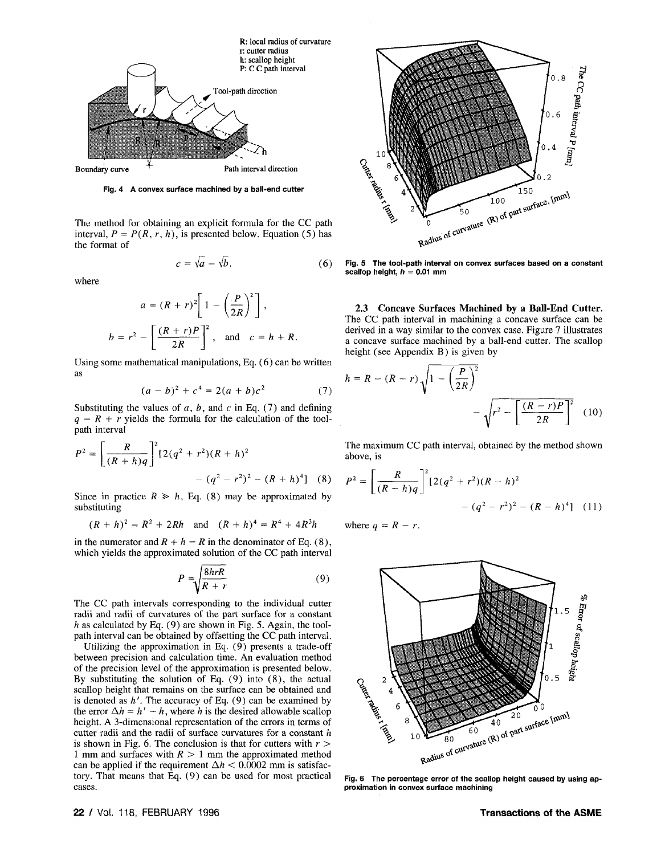

**Fig. 4 A convex surface machined by a ball-end cutter** 

The method for obtaining an explicit formula for the CC path interval,  $P = P(R, r, h)$ , is presented below. Equation (5) has the format of

$$
c = \sqrt{a} - \sqrt{b}.\tag{6}
$$

where

$$
a = (R + r)^{2} \left[ 1 - \left(\frac{P}{2R}\right)^{2} \right],
$$
  

$$
b = r^{2} - \left[ \frac{(R + r)P}{2R} \right]^{2}, \text{ and } c = h + R.
$$

Using some mathematical manipulations, Eq. (6) can be written as

$$
(a - b)^2 + c^4 = 2(a + b)c^2 \tag{7}
$$

Substituting the values of  $a$ ,  $b$ , and  $c$  in Eq. (7) and defining  $q = R + r$  yields the formula for the calculation of the toolpath interval

$$
P^{2} = \left[\frac{R}{(R+h)q}\right]^{2} [2(q^{2}+r^{2})(R+h)^{2} - (q^{2}-r^{2})^{2} - (R+h)^{4}] \quad (8)
$$

Since in practice  $R \geq h$ , Eq. (8) may be approximated by substituting

$$
(R + h)^2 = R^2 + 2Rh \quad \text{and} \quad (R + h)^4 = R^4 + 4R^3h
$$

in the numerator and  $R + h = R$  in the denominator of Eq. (8), which yields the approximated solution of the CC path interval

$$
P = \sqrt{\frac{8hrR}{R+r}}\tag{9}
$$

The CC path intervals corresponding to the individual cutter radii and radii of curvatures of the part surface for a constant *h* as calculated by Eq. (9) are shown in Fig. 5. Again, the toolpath interval can be obtained by offsetting the CC path interval.

Utilizing the approximation in Eq. (9) presents a trade-off between precision and calculation time. An evaluation method of the precision level of the approximation is presented below. By substituting the solution of Eq. (9) into (8), the actual scallop height that remains on the surface can be obtained and is denoted as *h'.* The accuracy of Eq. (9) can be examined by the error  $\Delta h = h' - h$ , where *h* is the desired allowable scallop height. A 3-dimensional representation of the errors in terms of cutter radii and the radii of surface curvatures for a constant *h*  is shown in Fig. 6. The conclusion is that for cutters with  $r >$ 1 mm and surfaces with *R >* 1 mm the approximated method can be applied if the requirement  $\Delta h < 0.0002$  mm is satisfactory. That means that Eq. (9) can be used for most practical cases.



**Fig. 5 The tool-path interval on convex surfaces based on a constant**  scallop height,  $h = 0.01$  mm

**2.3 Concave Surfaces Machined by a Ball-End Cutter.**  The CC path interval in machining a concave surface can be derived in a way similar to the convex case. Figure 7 illustrates a concave surface machined by a ball-end cutter. The scallop height (see Appendix B) is given by

$$
h = R - (R - r) \sqrt{1 - \left(\frac{P}{2R}\right)^2} - \sqrt{r^2 - \left[\frac{(R - r)P}{2R}\right]^2}
$$
 (10)

The maximum CC path interval, obtained by the method shown above, is

$$
\begin{aligned} \n\text{ated by} \qquad P^2 &= \left[ \frac{R}{(R-h)q} \right]^2 \left[ 2(q^2+r^2)(R-h)^2 \right] \\ \n&\quad - (q^2-r^2)^2 - (R-h)^4 \right] \quad (11) \n\end{aligned}
$$

where  $q = R - r$ .



**Fig. 6 The percentage error of the scallop height caused by using approximation in convex surface machining**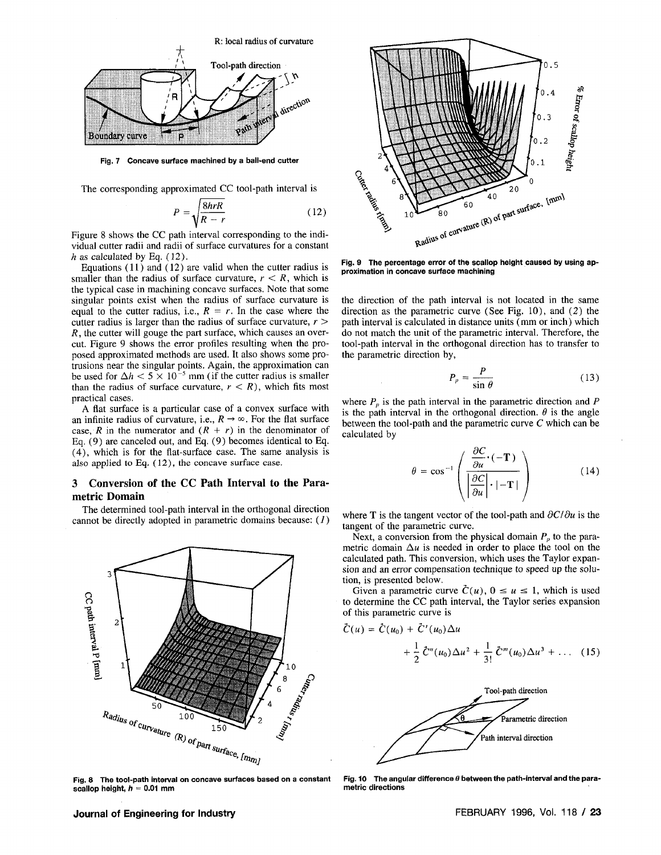

**Fig. 7 Concave surface machined by a ball-end cutter** 

The corresponding approximated CC tool-path interval is

$$
P = \sqrt{\frac{8hrR}{R - r}}\tag{12}
$$

Figure 8 shows the CC path interval corresponding to the individual cutter radii and radii of surface curvatures for a constant *h* as calculated by Eq. (12).

Equations (11) and (12) are valid when the cutter radius is smaller than the radius of surface curvature,  $r < R$ , which is the typical case in machining concave surfaces. Note that some singular points exist when the radius of surface curvature is equal to the cutter radius, i.e.,  $R = r$ . In the case where the cutter radius is larger than the radius of surface curvature,  $r >$ *R*, the cutter will gouge the part surface, which causes an overcut. Figure 9 shows the error profiles resulting when the proposed approximated methods are used. It also shows some protrusions near the singular points. Again, the approximation can the used for  $\Delta h < 5 \times 10^{-5}$  mm (if the cutter radius is smaller than the radius of surface curvature,  $r < R$ ), which fits most practical cases.

A flat surface is a particular case of a convex surface with an infinite radius of curvature, i.e.,  $R \rightarrow \infty$ . For the flat surface case, R in the numerator and  $(R + r)$  in the denominator of Eq. (9) are canceled out, and Eq. (9) becomes identical to Eq. (4), which is for the flat-surface case. The same analysis is also applied to Eq. (12), the concave surface case.

# **3 Conversion of the CC Path Interval to the Parametric Domain**

The determined tool-path interval in the orthogonal direction cannot be directly adopted in parametric domains because: (*1)* 



**Fig. 8 The tool-path interval on concave surfaces based on a constant scallop height, h = 0.01 mm** 



**Fig. 9 The percentage error of the scallop height caused by using approximation in concave surface machining** 

the direction of the path interval is not located in the same direction as the parametric curve (See Fig. 10), and (2) the path interval is calculated in distance units (mm or inch) which do not match the unit of the parametric interval. Therefore, the tool-path interval in the orthogonal direction has to transfer to the parametric direction by,

$$
P_p = \frac{P}{\sin \theta} \tag{13}
$$

where  $P_p$  is the path interval in the parametric direction and  $P$ is the path interval in the orthogonal direction.  $\theta$  is the angle between the tool-path and the parametric curve C which can be calculated by

$$
\theta = \cos^{-1}\left(\frac{\frac{\partial C}{\partial u} \cdot (-\mathbf{T})}{\left|\frac{\partial C}{\partial u}\right| \cdot |- \mathbf{T}|}\right) \tag{14}
$$

where T is the tangent vector of the tool-path and  $\partial C/\partial u$  is the tangent of the parametric curve.

Next, a conversion from the physical domain  $P_p$  to the parametric domain  $\Delta u$  is needed in order to place the tool on the calculated path. This conversion, which uses the Taylor expansion and an error compensation technique to speed up the solution, is presented below.

Given a parametric curve  $\tilde{C}(u)$ ,  $0 \le u \le 1$ , which is used to determine the CC path interval, the Taylor series expansion of this parametric curve is

$$
\ddot{C}(u) = \ddot{C}(u_0) + \ddot{C}'(u_0) \Delta u + \frac{1}{2} \ddot{C}''(u_0) \Delta u^2 + \frac{1}{3!} \ddot{C}'''(u_0) \Delta u^3 + \dots (15)
$$



Fig. 10 The angular difference  $\theta$  between the path-interval and the para**metric directions**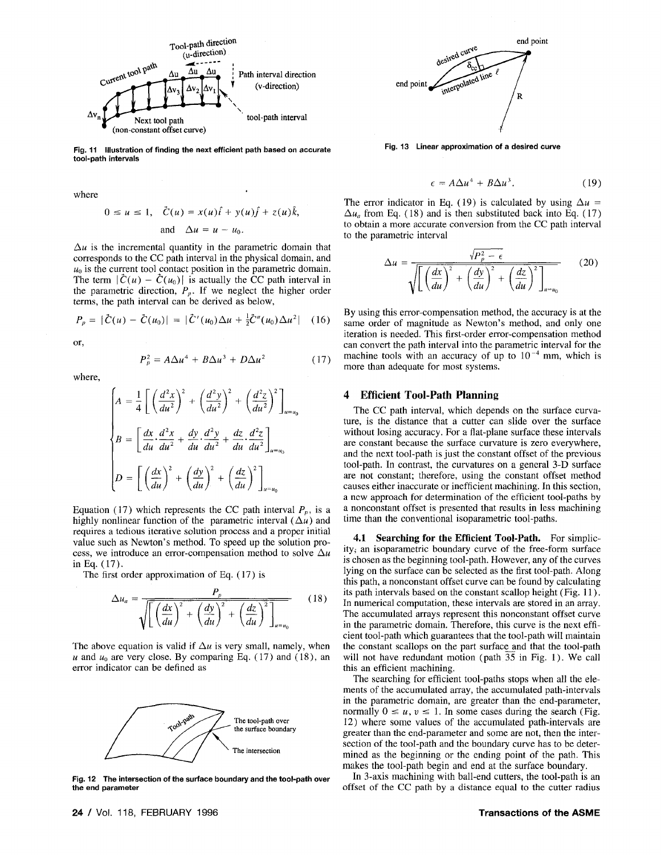

**Fig. 11 Illustration of finding the next efficient path based on accurate tool-path intervals** 

where

$$
0 \le u \le 1, \quad \tilde{C}(u) = x(u)\hat{i} + y(u)\hat{j} + z(u)\hat{k},
$$
  
and 
$$
\Delta u = u - u_0.
$$

 $\Delta u$  is the incremental quantity in the parametric domain that corresponds to the CC path interval in the physical domain, and  $u_0$  is the current tool contact position in the parametric domain. The term  $|\tilde{C}(u) - \tilde{C}(u_0)|$  is actually the CC path interval in the parametric direction,  $P_p$ . If we neglect the higher order terms, the path interval can be derived as below,

$$
P_p = |\dot{C}(u) - \dot{C}(u_0)| = |\dot{C}'(u_0)\Delta u + \frac{1}{2}\dot{C}''(u_0)\Delta u^2| \quad (16)
$$

or,

$$
P_p^2 = A\Delta u^4 + B\Delta u^3 + D\Delta u^2 \tag{17}
$$

where,

$$
\begin{cases}\nA = \frac{1}{4} \left[ \left( \frac{d^2 x}{du^2} \right)^2 + \left( \frac{d^2 y}{du^2} \right)^2 + \left( \frac{d^2 z}{du^2} \right)^2 \right]_{u=u_0} \\
B = \left[ \frac{dx}{du} \cdot \frac{d^2 x}{du^2} + \frac{dy}{du} \cdot \frac{d^2 y}{du^2} + \frac{dz}{du} \cdot \frac{d^2 z}{du^2} \right]_{u=u_0} \\
D = \left[ \left( \frac{dx}{du} \right)^2 + \left( \frac{dy}{du} \right)^2 + \left( \frac{dz}{du} \right)^2 \right]_{u=u_0}\n\end{cases}
$$

Equation (17) which represents the CC path interval  $P_p$ , is a highly nonlinear function of the parametric interval  $(\Delta u)$  and requires a tedious iterative solution process and a proper initial value such as Newton's method. To speed up the solution process, we introduce an error-compensation method to solve  $\Delta u$ inEq. (17).

The first order approximation of Eq. (17) is

$$
\Delta u_a = \frac{P_p}{\sqrt{\left[\left(\frac{dx}{du}\right)^2 + \left(\frac{dy}{du}\right)^2 + \left(\frac{dz}{du}\right)^2\right]_{u=u_0}}}
$$
(18)

The above equation is valid if  $\Delta u$  is very small, namely, when u and  $u_0$  are very close. By comparing Eq. (17) and (18), an error indicator can be defined as



**Fig. 12 The intersection of the surface boundary and the tool-path over the end parameter** 



**Fig. 13 Linear approximation of a desired curve** 

$$
\epsilon = A\Delta u^4 + B\Delta u^3. \tag{19}
$$

The error indicator in Eq. (19) is calculated by using  $\Delta u =$  $\Delta u_a$  from Eq. (18) and is then substituted back into Eq. (17) to obtain a more accurate conversion from the CC path interval to the parametric interval

$$
\Delta u = \frac{\sqrt{P_p^2 - \epsilon}}{\sqrt{\left[\left(\frac{dx}{du}\right)^2 + \left(\frac{dy}{du}\right)^2 + \left(\frac{dz}{du}\right)^2\right]_{u=u_0}}}
$$
(20)

By using this error-compensation method, the accuracy is at the same order of magnitude as Newton's method, and only one iteration is needed. This first-order error-compensation method can convert the path interval into the parametric interval for the machine tools with an accuracy of up to  $10^{-4}$  mm, which is more than adequate for most systems.

# **4 Efficient Tool-Path Planning**

The CC path interval, which depends on the surface curvature, is the distance that a cutter can slide over the surface without losing accuracy. For a flat-plane surface these intervals are constant because the surface curvature is zero everywhere, and the next tool-path is just the constant offset of the previous tool-path. In contrast, the curvatures on a general 3-D surface are not constant; therefore, using the constant offset method causes either inaccurate or inefficient machining. In this section, a new approach for determination of the efficient tool-paths by a nonconstant offset is presented that results in less machining time than the conventional isoparametric tool-paths.

4.1 Searching for the Efficient Tool-Path. For simplicity; an isoparametric boundary curve of the free-form surface is chosen as the beginning tool-path. However, any of the curves lying on the surface can be selected as the first tool-path. Along this path, a nonconstant offset curve can be found by calculating its path intervals based on the constant scallop height (Fig. 11). In numerical computation, these intervals are stored in an array. The accumulated arrays represent this nonconstant offset curve in the parametric domain. Therefore, this curve is the next efficient tool-path which guarantees that the tool-path will maintain the constant scallops on the part surface and that the tool-path will not have redundant motion (path 35 in Fig. 1). We call this an efficient machining.

The searching for efficient tool-paths stops when all the elements of the accumulated array, the accumulated path-intervals in the parametric domain, are greater than the end-parameter, normally  $0 \le u, v \le 1$ . In some cases during the search (Fig. 12) where some values of the accumulated path-intervals are greater than the end-parameter and some are not, then the intersection of the tool-path and the boundary curve has to be determined as the beginning or the ending point of the path. This makes the tool-path begin and end at the surface boundary.

In 3-axis machining with ball-end cutters, the tool-path is an offset of the CC path by a distance equal to the cutter radius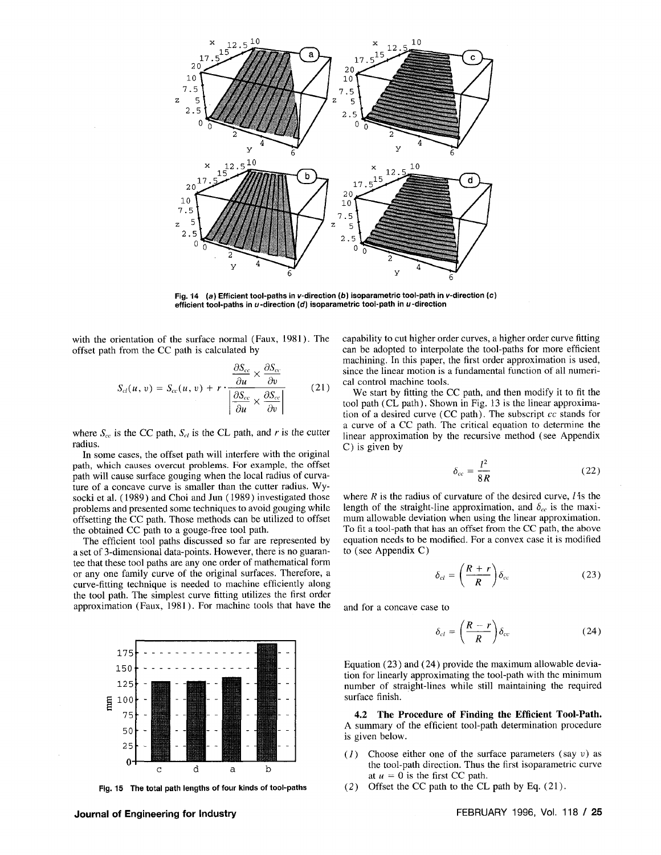

Fig. 14 (a) Efficient tool-paths in v-direction (b) isoparametric tool-path in v-direction (c) **efficient tool-paths in u -direction (d) isoparametric tool-path in u-direction** 

with the orientation of the surface normal (Faux, 1981). The offset path from the CC path is calculated by

$$
S_{cl}(u, v) = S_{cc}(u, v) + r \cdot \frac{\frac{\partial S_{cc}}{\partial u} \times \frac{\partial S_{cc}}{\partial v}}{\left| \frac{\partial S_{cc}}{\partial u} \times \frac{\partial S_{cc}}{\partial v} \right|}
$$
(21)

where  $S_{cc}$  is the CC path,  $S_{ct}$  is the CL path, and r is the cutter radius.

In some cases, the offset path will interfere with the original path, which causes overcut problems. For example, the offset path will cause surface gouging when the local radius of curvature of a concave curve is smaller than the cutter radius. Wysocki et al. (1989) and Choi and Jun (1989) investigated those problems and presented some techniques to avoid gouging while offsetting the CC path. Those methods can be utilized to offset the obtained CC path to a gouge-free tool path.

The efficient tool paths discussed so far are represented by a set of 3-dimensional data-points. However, there is no guarantee that these tool paths are any one order of mathematical form or any one family curve of the original surfaces. Therefore, a curve-fitting technique is needed to machine efficiently along the tool path. The simplest curve fitting utilizes the first order approximation (Faux, 1981). For machine tools that have the



**Fig. 15 The total path lengths of four kinds of tool-paths** 

capability to cut higher order curves, a higher order curve fitting can be adopted to interpolate the tool-paths for more efficient machining. In this paper, the first order approximation is used, since the linear motion is a fundamental function of all numerical control machine tools.

We start by fitting the CC path, and then modify it to fit the tool path (CL path). Shown in Fig. 13 is the linear approximation of a desired curve (CC path). The subscript *cc* stands for a curve of a CC path. The critical equation to determine the linear approximation by the recursive method (see Appendix C) is given by

$$
\delta_{cc} = \frac{l^2}{8R} \tag{22}
$$

where *R* is the radius of curvature of the desired curve, *I* 'is the length of the straight-line approximation, and  $\delta_{cc}$  is the maximum allowable deviation when using the linear approximation. To fit a tool-path that has an offset from the CC path, the above equation needs to be modified. For a convex case it is modified to (see Appendix C)

$$
\delta_{cl} = \left(\frac{R+r}{R}\right)\delta_{cc}
$$
 (23)

and for a concave case to

$$
\delta_{cl} = \left(\frac{R-r}{R}\right)\delta_{cc}
$$
 (24)

Equation (23) and (24) provide the maximum allowable deviation for linearly approximating the tool-path with the minimum number of straight-lines while still maintaining the required surface finish.

**4.2 The Procedure of Finding the Efficient Tool-Path.**  A summary of the efficient tool-path determination procedure is given below.

- (7) Choose either one of the surface parameters (say *v)* as the tool-path direction. Thus the first isoparametric curve at  $u = 0$  is the first CC path.
- (2) Offset the CC path to the CL path by Eq. (21).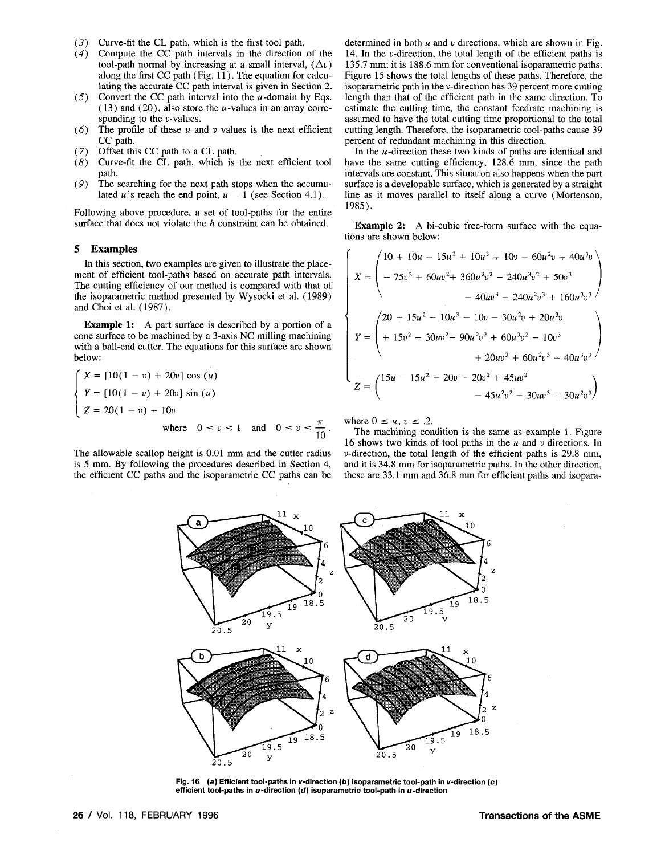- (5) Curve-fit the CL path, which is the first tool path.
- *(4)* Compute the CC path intervals in the direction of the tool-path normal by increasing at a small interval,  $(\Delta v)$ along the first CC path (Fig. 11). The equation for calculating the accurate CC path interval is given in Section 2.
- $(5)$  Convert the CC path interval into the *u*-domain by Eqs. (13) and (20), also store the *u*-values in an array corresponding to the  $v$ -values.
- (6) The profile of these *u* and *v* values is the next efficient CC path.
- (7) Offset this CC path to a CL path.
- *(8)* Curve-fit the CL path, which is the next efficient tool path.
- (9) The searching for the next path stops when the accumulated *u*'s reach the end point,  $u = 1$  (see Section 4.1).

Following above procedure, a set of tool-paths for the entire surface that does not violate the *h* constraint can be obtained.

#### **5 Examples**

In this section, two examples are given to illustrate the placement of efficient tool-paths based on accurate path intervals. The cutting efficiency of our method is compared with that of the isoparametric method presented by Wysocki et al. (1989) and Choi et al. (1987).

**Example 1:** A part surface is described by a portion of a cone surface to be machined by a 3-axis NC milling machining with a ball-end cutter. The equations for this surface are shown below:

$$
\begin{cases}\nX = [10(1 - v) + 20v] \cos (u) \\
Y = [10(1 - v) + 20v] \sin (u) \\
Z = 20(1 - v) + 10v \\
\text{where } 0 \le v \le 1 \text{ and } 0 \le v \le \frac{\pi}{10}.\n\end{cases}
$$

The allowable scallop height is 0.01 mm and the cutter radius is 5 mm. By following the procedures described in Section 4, the efficient CC paths and the isoparametric CC paths can be determined in both *u* and *v* directions, which are shown in Fig. 14. In the u-direction, the total length of the efficient paths is 135.7 mm; it is 188.6 mm for conventional isoparametric paths. Figure 15 shows the total lengths of these paths. Therefore, the isoparametric path in the v-direction has 39 percent more cutting length than that of the efficient path in the same direction. To estimate the cutting time, the constant feedrate machining is assumed to have the total cutting time proportional to the total cutting length. Therefore, the isoparametric tool-paths cause 39 percent of redundant machining in this direction.

In the *u* -direction these two kinds of paths are identical and have the same cutting efficiency, 128.6 mm, since the path intervals are constant. This situation also happens when the part surface is a developable surface, which is generated by a straight line as it moves parallel to itself along a curve (Mortenson, 1985).

**Example 2:** A bi-cubic free-form surface with the equations are shown below:

$$
X = \begin{pmatrix} 10 + 10u - 15u^2 + 10u^3 + 10v - 60u^2v + 40u^3v \\ - 75v^2 + 60uv^2 + 360u^2v^2 - 240u^3v^2 + 50v^3 \\ - 40uv^3 - 240u^2v^3 + 160u^3v^3 \end{pmatrix}
$$

$$
Y = \begin{pmatrix} 20 + 15u^2 - 10u^3 - 10v - 30u^2v + 20u^3v \\ + 15v^2 - 30uv^2 - 90u^2v^2 + 60u^3v^2 - 10v^3 \\ + 20uv^3 + 60u^2v^3 - 40u^3v^3 \end{pmatrix}
$$

$$
Z = \begin{pmatrix} 15u - 15u^2 + 20v - 20v^2 + 45uv^2 \\ - 45u^2v^2 - 30uv^3 + 30u^2v^3 \end{pmatrix}
$$

where  $0 \le u, v \le .2$ .

The machining condition is the same as example 1. Figure 16 shows two kinds of tool paths in the *u* and *v* directions. In u-direction, the total length of the efficient paths is 29.8 mm, and it is 34.8 mm for isoparametric paths. In the other direction, these are 33.1 mm and 36.8 mm for efficient paths and isopara-



 $\ddot{\phantom{0}}$ 

**Fig. 16 (a) Efficient tool-paths in v-direction (b) isoparametric tool-path in v-direction (c)**  efficient tool-paths in u-direction (d) isoparametric tool-path in u-direction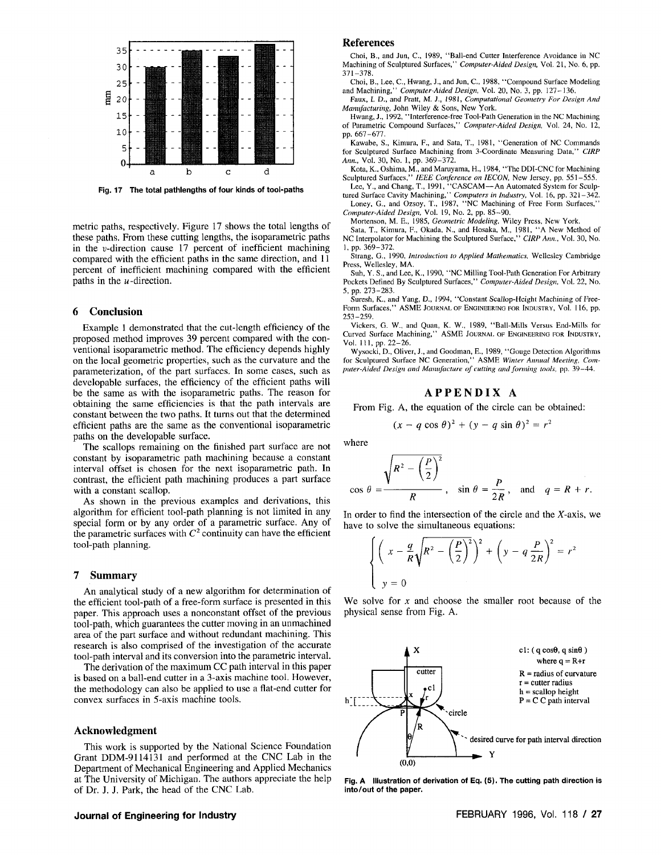

**Fig. 17 The total pathlengths of four kinds of tool-paths** 

metric paths, respectively. Figure 17 shows the total lengths of these paths. From these cutting lengths, the isoparametric paths in the u-direction cause 17 percent of inefficient machining compared with the efficient paths in the same direction, and 11 percent of inefficient machining compared with the efficient paths in the *u* -direction.

#### **6 Conclusion**

Example 1 demonstrated that the cut-length efficiency of the proposed method improves 39 percent compared with the conventional isoparametric method. The efficiency depends highly on the local geometric properties, such as the curvature and the parameterization, of the part surfaces. In some cases, such as developable surfaces, the efficiency of the efficient paths will be the same as with the isoparametric paths. The reason for obtaining the same efficiencies is that the path intervals are constant between the two paths. It turns out that the determined efficient paths are the same as the conventional isoparametric paths on the developable surface.

The scallops remaining on the finished part surface are not constant by isoparametric path machining because a constant interval offset is chosen for the next isoparametric path. In contrast, the efficient path machining produces a part surface with a constant scallop.

As shown in the previous examples and derivations, this algorithm for efficient tool-path planning is not limited in any special form or by any order of a parametric surface. Any of the parametric surfaces with  $C^2$  continuity can have the efficient tool-path planning.

#### **7 Summary**

An analytical study of a new algorithm for determination of the efficient tool-path of a free-form surface is presented in this paper. This approach uses a nonconstant offset of the previous tool-path, which guarantees the cutter moving in an unmachined area of the part surface and without redundant machining. This research is also comprised of the investigation of the accurate tool-path interval and its conversion into the parametric interval.

The derivation of the maximum CC path interval in this paper is based on a ball-end cutter in a 3-axis machine tool. However, the methodology can also be applied to use a flat-end cutter for convex surfaces in 5-axis machine tools.

#### **Acknowledgment**

This work is supported by the National Science Foundation Grant DDM-9114131 and performed at the CNC Lab in the Department of Mechanical Engineering and Applied Mechanics at The University of Michigan. The authors appreciate the help of Dr. J. J. Park, the head of the CNC Lab.

# **Journal of Engineering for Industry <b>FEBRUARY 1996, Vol. 118 / 27**

#### References

Choi, B., and Jun, C, 1989, "Ball-end Cutter Interference Avoidance in NC Machining of Sculptured Surfaces," *Computer-Aided Design,* Vol. 21, No. 6, pp. 371-378.

Choi, B., Lee, C, Hwang, J., and Jun, C, 1988, "Compound Surface Modeling and Machining," *Computer-Aided Design,* Vol. 20, No. 3, pp. 127-136.

Faux, I. D., and Pratt, M. J., 1981, *Computational Geometry For Design And Manufacturing,* John Wiley & Sons, New York.

Hwang, J., 1992, "Interference-free Tool-Path Generation in the NC Machining of Parametric Compound Surfaces," *Computer-Aided Design,* Vol. 24, No. 12, pp. 667-677.

Kawabe, S., Kimura, F., and Sata, T., 1981, "Generation of NC Commands for Sculptured Surface Machining from 3-Coordinate Measuring Data," *CIRP Ann.,* Vol. 30, No. 1, pp. 369-372.

Kota, K., Oshima, M., and Maruyama, H., 1984,' 'The DDI-CNC for Machining Sculptured Surfaces," *IEEE Conference on IECON,* New Jersey, pp. 551-555.

Lee, Y., and Chang, T., 1991, "CASCAM—An Automated System for Sculp-<br>tured Surface Cavity Machining," *Computers in Industry*, Vol. 16, pp. 321–342. Loney, G., and Ozsoy, T., 1987, "NC Machining of Free Form Surfaces,"

*Computer-Aided Design,* Vol. 19, No. 2, pp. 85-90.

Mortenson, M. E., 1985, *Geometric Modeling,* Wiley Press, New York.

Sata, T., Kimura, F., Okada, N., and Hosaka, M., 1981, "A New Method of NC Interpolator for Machining the Sculptured Surface," *CIRP Ann.,* Vol. 30, No. 1, pp. 369-372.

Strang, G., 1990, *Introduction to Applied Mathematics,* Wellesley Cambridge Press, Wellesley, MA.

Suh, Y. S., and Lee, K., 1990, "NC Milling Tool-Path Generation For Arbitrary Pockets Defined By Sculptured Surfaces," *Computer-Aided Design,* Vol. 22, No. 5, pp. 273-283.

Suresh, K., and Yang, D., 1994, "Constant Scallop-Height Machining of Free-Form Surfaces," ASME JOURNAL OF ENGINEERING FOR INDUSTRY, Vol. 116, pp. 253-259.

Vickers, G. W., and Quan, K. W., 1989, "Ball-Mills Versus End-Mills for Curved Surface Machining," ASME JOURNAL OF ENGINEERING FOR INDUSTRY, Vol. 111, pp. 22-26.

Wysocki, D., Oliver, J., and Goodman, E., 1989, "Gouge Detection Algorithms for Sculptured Surface NC Generation," ASME *Winter Annual Meeting, Computer-Aided Design and Manufacture of cutting and forming tools,* pp. 39-44.

# **APPENDI X A**

From Fig. A, the equation of the circle can be obtained:

$$
(x - q \cos \theta)^2 + (y - q \sin \theta)^2 = r^2
$$

where

$$
\cos \theta = \frac{\sqrt{R^2 - \left(\frac{P}{2}\right)^2}}{R}, \quad \sin \theta = \frac{P}{2R}, \quad \text{and} \quad q = R + r.
$$

In order to find the intersection of the circle and the X-axis, we have to solve the simultaneous equations:

$$
\begin{cases} \left(x - \frac{q}{R}\sqrt{R^2 - \left(\frac{P}{2}\right)^2}\right)^2 + \left(y - q\frac{P}{2R}\right)^2 = r^2\\ y = 0 \end{cases}
$$

We solve for *x* and choose the smaller root because of the physical sense from Fig. A.



**Fig. A Illustration of derivation of Eq. (5). The cutting path direction is into/out of the paper.**